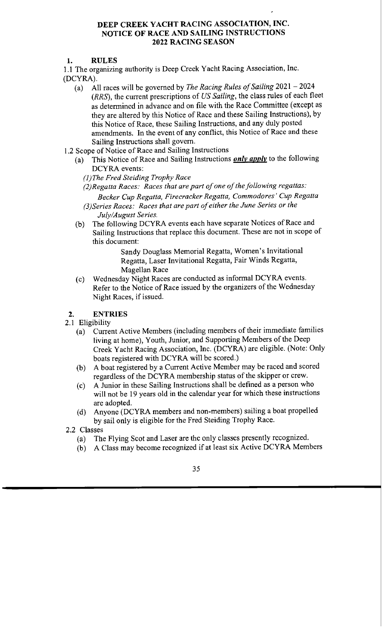## **DEEP CREEK YACHT RACING ASSOCIATION, INC. NOTICE OF RACE AND SAILING INSTRUCTIONS 2022 RACING SEASON**

**1. RULES** 

1.1 The organizing authority is Deep Creek Yacht Racing Association, Inc. (DCYRA).

- (a) All races will be governed by *The Racing Rules of Sailing* 2021 2024 *(RRS),* the current prescriptions of *US Sailing,* the class rules of each fleet as determined in advance and on file with the Race Committee (except as they are altered by this Notice of Race and these Sailing Instructions), by this Notice of Race, these Sailing Instructions, and any duly posted amendments. In the event of any conflict, this Notice of Race and these Sailing Instructions shall govern.
- 1.2 Scope of Notice of Race and Sailing Instructions
	- (a) This Notice of Race and Sailing Instructions *only apply* to the following DCYRA events:
		- *(])The Fred Steiding Trophy Race*
		- *(2)Regatta Races: Races that are part of one of the following regattas: Becker Cup Regatta, Firecracker Regatta, Commodores' Cup Regatta*
		- *(3)Series Races: Races that are part of either the June Series or the July/August Series.*
	- (b) The following DCYRA events each have separate Notices of Race and Sailing Instructions that replace this document. These are not in scope of this document:

Sandy Douglass Memorial Regatta, Women's Invitational Regatta, Laser Invitational Regatta, Fair Winds Regatta, Magellan Race

(c) Wednesday Night Races are conducted as informal DCYRA events. Refer to the Notice of Race issued by the organizers of the Wednesday Night Races, if issued.

#### **2. ENTRIES**

- 2.1 Eligibility
	- (a) Current Active Members (including members of their immediate families living at home), Youth, Junior, and Supporting Members of the Deep Creek Yacht Racing Association, Inc. (DCYRA) are eligible. (Note: Only boats registered with DCYRA will be scored.)
	- (b) A boat registered by a Current Active Member may be raced and scored regardless of the DCYRA membership status of the skipper or crew.
	- ( c) A Junior in these Sailing Instructions shall be defined as a person who will not be 19 years old in the calendar year for which these instructions are adopted.
	- (d) Anyone (DCYRA members and non-members) sailing a boat propelled by sail only is eligible for the Fred Steiding Trophy Race.
- 2.2 Classes
	- (a) The Flying Scot and Laser are the only classes presently recognized.
	- (b) A Class may become recognized if at least six Active DCYRA Members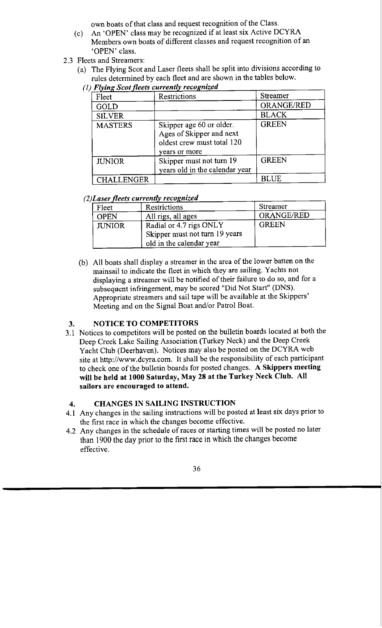own boats of that class and request recognition of the Class.

- (c) An 'OPEN' class may be recognized if at least six Active DCYRA Members own boats of different classes and request recognition of an 'OPEN' class.
- 2.3 Fleets and Streamers:
	- (a) The Flying Scot and Laser fleets shall be split into divisions according to rules determined by each fleet and are shown in the tables below.
		- *(1) Flying Scot fleets currently recognized*

| Fleet          | Restrictions                                                                                        | <b>Streamer</b> |
|----------------|-----------------------------------------------------------------------------------------------------|-----------------|
| GOLD           |                                                                                                     | ORANGE/RED      |
| <b>SILVER</b>  |                                                                                                     | <b>BLACK</b>    |
| <b>MASTERS</b> | Skipper age 60 or older.<br>Ages of Skipper and next<br>oldest crew must total 120<br>years or more | <b>GREEN</b>    |
| <b>JUNIOR</b>  | Skipper must not turn 19<br>years old in the calendar year                                          | <b>GREEN</b>    |
| CHALLENGER     |                                                                                                     | <b>BLUE</b>     |

# *(2) Laser fleets currently recognized*

| Fleet         | Restrictions                                              | Streamer     |
|---------------|-----------------------------------------------------------|--------------|
| <b>OPEN</b>   | All rigs, all ages                                        | ORANGE/RED   |
| <b>JUNIOR</b> | Radial or 4.7 rigs ONLY<br>Skipper must not turn 19 years | <b>GREEN</b> |
|               | old in the calendar year                                  |              |

(b) All boats shall display a streamer in the area of the lower batten on the mainsail to indicate the fleet in which they are sailing. Yachts not displaying a streamer will be notified of their failure to do so, and for a subsequent infringement, may be scored "Did Not Start" (DNS). Appropriate streamers and sail tape will be available at the Skippers' Meeting and on the Signal Boat and/or Patrol Boat.

# **3. NOTICE TO COMPETITORS**

3. I Notices to competitors will be posted on the bulletin boards located at both the Deep Creek Lake Sailing Association (Turkey Neck) and the Deep Creek Yacht Club (Deerhaven). Notices may also be posted on the DCYRA web site at http://www.dcyra.com. It shall be the responsibility of each participant to check one of the bulletin boards for posted changes. **A Skippers meeting will be held at 1000 Saturday, May 28 at the Turkey Neck Club. All sailors are encouraged to attend.** 

## **4. CHANGES IN SAILING INSTRUCTION**

- 4.1 Any changes in the sailing instructions will be posted at least six days prior to the first race in which the changes become effective.
- 4.2 Any changes in the schedule of races or starting times will be posted no later than 1900 the day prior to the first race in which the changes become effective.

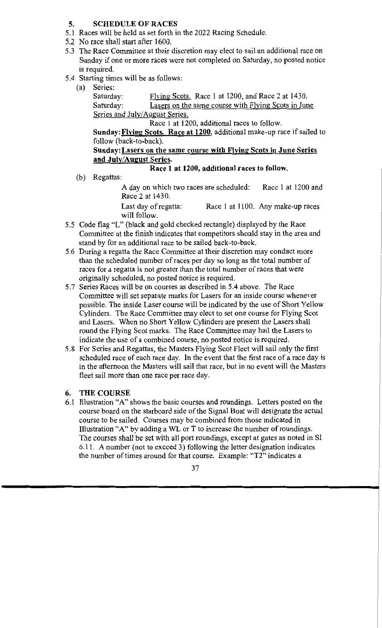## **5. SCHEDULE OF RACES**

- 5 .I Races will be held as set forth in the 2022 Racing Schedule.
- 5 .2 No race shall start after 1600.
- 5.3 The Race Committee at their discretion may elect to sail an additional race on Sunday if one or more races were not completed on Saturday, no posted notice is required.
- 5.4 Starting times will be as follows:
	- (a) Series:

Saturday: Flying Scots. Race 1 at 1200, and Race 2 at 1430. Saturday: Lasers on the same course with Flying Scots in June Series and July/August Series.

Race 1 at 1200, additional races to follow.

**Sunday: Flying Scots. Race at 1200,** additional make-up race if sailed to follow (back-to-back).

## **Sunday:Lasers on the same course with Flying Scots in June Series and July/August Series.**

# **Race 1 at 1200, additional races to follow.**

(b) Regattas:

A day on which two races are scheduled: Race 1 at 1200 and Race 2 at 1430.

Last day of regatta: Race 1 at 1100. Any make-up races will follow.

- 5 .5 Code flag "L" (black and gold checked rectangle) displayed by the Race Committee at the finish indicates that competitors should stay in the area and stand by for an additional race to be sailed back-to-back.
- 5.6 During a regatta the Race Committee at their discretion may conduct more than the scheduled number of races per day so long as the total number of races for a regatta is not greater than the total number of races that were originally scheduled, no posted notice is required.
- 5.7 Series Races will be on courses as described in 5.4 above. The Race Committee will set separate marks for Lasers for an inside course whenever possible. The inside Laser course will be indicated by the use of Short Yellow Cylinders. The Race Committee may elect to set one course for Flying Scot and Lasers. When no Short Yellow Cylinders are present the Lasers shall round the Flying Scot marks. The Race Committee may hail the Lasers to indicate the use of a combined course, no posted notice is required.
- 5.8 For Series and Regattas, the Masters Flying Scot Fleet will sail only the first scheduled race of each race day. In the event that the first race of a race day is in the afternoon the Masters will sail that race, but in no event will the Masters fleet sail more than one race per race day.

# **6. THE COURSE**

6.1 Illustration "A" shows the basic courses and roundings. Letters posted on the course board on the starboard side of the Signal Boat will designate the actual course to be sailed. Courses may be combined from those indicated in Illustration "A" by adding a WL or T to increase the number of roundings. The courses shall be set with all port roundings, except at gates as noted in SI 6.11. A number (not to exceed 3) following the letter designation indicates the number of times around for that course. Example: "T2" indicates a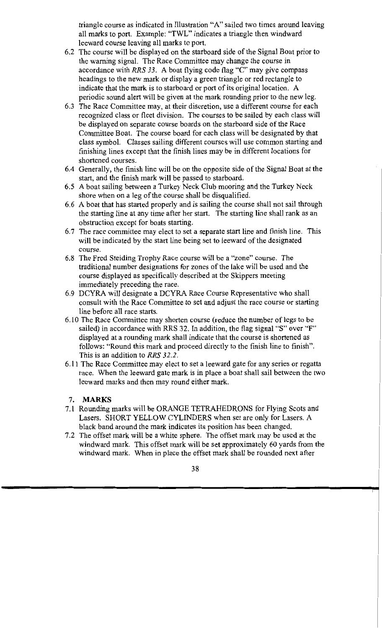triangle course as indicated in Illustration "A" sailed two times around leaving all marks to port. Example: "TWL" indicates a triangle then windward leeward course leaving all marks to port.

- 6.2 The course will be displayed on the starboard side of the Signal Boat prior to the warning signal. The Race Committee may change the course in accordance with *RRS 33.* A boat flying code flag "C" may give compass headings to the new mark or display a green triangle or red rectangle to indicate that the mark is to starboard or port of its original location. A periodic sound alert will be given at the mark rounding prior to the new leg.
- 6.3 The Race Committee may, at their discretion, use a different course for each recognized class or fleet division. The courses to be sailed by each class will be displayed on separate course boards on the starboard side of the Race Committee Boat. The course board for each class will be designated by that class symbol. Classes sailing different courses will use common starting and finishing lines except that the finish lines may be in different locations for shortened courses.
- 6.4 Generally, the finish line will be on the opposite side of the Signal Boat at the start, and the finish mark will be passed to starboard.
- 6.5 A boat sailing between a Turkey Neck Club mooring and the Turkey Neck shore when on a leg of the course shall be disqualified.
- 6.6 A boat that has started properly and is sailing the course shall not sail through the starting line at any time after her start. The starting line shall rank as an obstruction except for boats starting.
- 6. 7 The race committee may elect to set a separate start line and finish line. This will be indicated by the start line being set to leeward of the designated course.
- 6.8 The Fred Steiding Trophy Race course will be a "zone" course. The traditional number designations for zones of the lake will be used and the course displayed as specifically described at the Skippers meeting immediately preceding the race.
- 6.9 DCYRA will designate a DCYRA Race Course Representative who shall consult with the Race Committee to set and adjust the race course or starting line before all race starts.
- 6.10 The Race Committee may shorten course (reduce the number of legs to be sailed) in accordance with RRS 32. In addition, the flag signal "S" over "F" displayed at a rounding mark shall indicate that the course is shortened as follows: "Round this mark and proceed directly to the finish line to finish". This is an addition to *RRS 32.2.*
- 6.11 The Race Committee may elect to set a leeward gate for any series or regatta race. When the leeward gate mark is in place a boat shall sail between the two leeward marks and then may round either mark.

#### 7. **MARKS**

- 7.1 Rounding marks will be ORANGE TETRAHEDRONS for Flying Scots and Lasers. SHORT YELLOW CYLINDERS when set are only for Lasers. A black band around the mark indicates its position has been changed.
- 7.2 The offset mark will be a white sphere. The offset mark may be used at the windward mark. This offset mark will be set approximately 60 yards from the windward mark. When in place the offset mark shall be rounded next after

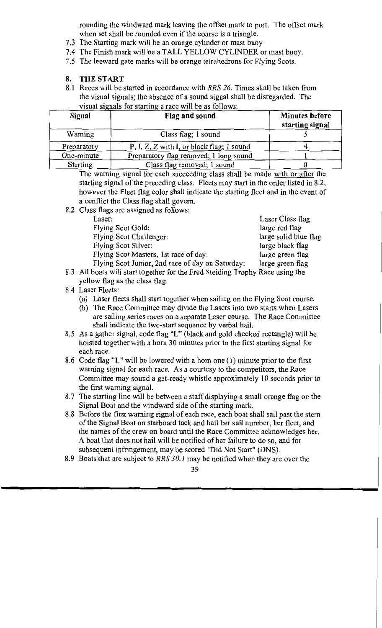rounding the windward mark leaving the offset mark to port. The offset mark when set shall be rounded even if the course is a triangle.

- 7 .3 The Starting mark will be an orange cylinder or mast buoy
- 7.4 The Finish mark will be a TALL YELLOW CYLINDER or mast buoy.
- 7 .5 The leeward gate marks will be orange tetrahedrons for Flying Scots.

#### **8. THE START**

8.1 Races will be started in accordance with *RRS 26.* Times shall be taken from the visual signals; the absence of a sound signal shall be disregarded. The visual signals for starting a race will be as follows:

| Signal          | Flag and sound                            | <b>Minutes before</b><br>starting signal |
|-----------------|-------------------------------------------|------------------------------------------|
| Warning         | Class flag; 1 sound                       |                                          |
| Preparatory     | P, I, Z, Z with I, or black flag; 1 sound |                                          |
| One-minute      | Preparatory flag removed; 1 long sound    |                                          |
| <b>Starting</b> | Class flag removed; 1 sound               |                                          |

The warning signal for each succeeding class shall be made with or after the starting signal of the preceding class. Fleets may start in the order listed in 8.2, however the Fleet flag color shall indicate the starting fleet and in the event of a conflict the Class flag shall govern.

8.2 Class flags are assigned as follows:

| Laser:                                           | Laser Class flag      |
|--------------------------------------------------|-----------------------|
| Flying Scot Gold:                                | large red flag        |
| <b>Flying Scot Challenger:</b>                   | large solid blue flag |
| Flying Scot Silver:                              | large black flag      |
| Flying Scot Masters, 1st race of day:            | large green flag      |
| Flying Scot Junior, 2nd race of day on Saturday: | large green flag      |

8.3 All boats will start together for the Fred Steiding Trophy Race using the yellow flag as the class flag.

#### 8.4 Laser Fleets:

- (a) Laser fleets shall start together when sailing on the Flying Scot course.
- (b) The Race Committee may divide the Lasers into two starts when Lasers are sailing series races on a separate Laser course. The Race Committee shall indicate the two-start sequence by verbal hail.
- 8.5 As a gather signal, code flag "L" (black and gold checked rectangle) will be hoisted together with a horn 30 minutes prior to the first starting signal for each race.
- 8.6 Code flag "L" will be lowered with a horn one (1) minute prior to the first warning signal for each race. As a courtesy to the competitors, the Race Committee may sound a get-ready whistle approximately 10 seconds prior to the first warning signal.
- 8.7 The starting line will be between a staff displaying a small orange flag on the Signal Boat and the windward side of the starting mark.
- 8. 8 Before the first warning signal of each race, each boat shall sail past the stem of the Signal Boat on starboard tack and hail her sail number, her fleet, and the names of the crew on board until the Race Committee acknowledges her. A boat that does not hail will be notified of her failure to do so, and for subsequent infringement, may be scored "Did Not Start" (DNS).
- 8.9 Boats that are subject to *RRS 30.1* may be notified when they are over the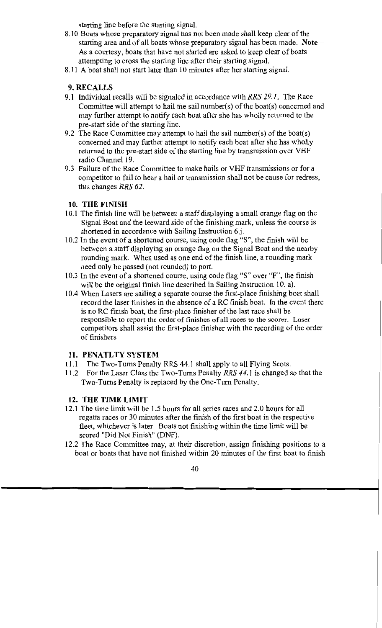starting line before the starting signal.

- 8 .10 Boats whose preparatory signal has not been made shall keep clear of the starting area and of all boats whose preparatory signal has been made. **Note** - As a courtesy, boats that have not started are asked to keep clear of boats attempting to cross the starting line after their starting signal.
- 8.11 A boat shall not start later than 10 minutes after her starting signal.

#### **9.RECALLS**

- 9 **.1** Individual recalls will be signaled in accordance with *RRS 29.1.* The Race Committee will attempt to hail the sail number(s) of the boat(s) concerned and may further attempt to notify each boat after she has wholly returned to the pre-start side of the starting line.
- 9.2 The Race Committee may attempt to hail the sail number(s) of the boat(s) concerned and may further attempt to notify each boat after she has wholly returned to the pre-start side of the starting line by transmission over VHF radio Channel 19.
- 9.3 Failure of the Race Committee to make hails or VHF transmissions or for a competitor to fail to hear a hail or transmission shall not be cause for redress, this changes *RRS 62.*

#### **10. THE FINISH**

- 10.1 The finish line will be between a staff displaying a small orange flag on the Signal Boat and the leeward side of the finishing mark, unless the course is shortened in accordance with Sailing Instruction 6.j.
- 10.2 In the event of a shortened course, using code flag "S", the finish will be between a staff displaying an orange flag on the Signal Boat and the nearby rounding mark. When used as one end of the finish line, a rounding mark need only be passed (not rounded) to port.
- 10.3 In the event of a shortened course, using code flag "S" over "F", the finish will be the original finish line described in Sailing Instruction 10. a).
- 10.4 When Lasers are sailing a separate course the first-place finishing boat shall record the laser finishes in the absence of a RC finish boat. In the event there is no RC finish boat, the first-place finisher of the last race shall be responsible to report the order of finishes of all races to the scorer. Laser competitors shall assist the first-place finisher with the recording of the order of finishers

#### 11. PENATLTY SYSTEM

- 11.1 The Two-Tums Penalty RRS 44.1 shall apply to all Flying Scots.
- 11.2 For the Laser Class the Two-Tums Penalty *RRS 44.1* is changed so that the Two-Tums Penalty is replaced by the One-Tum Penalty.

#### **12. THE TIME LIMIT**

- 12.1 The time limit will be 1.5 hours for all series races and 2.0 hours for all regatta races or 30 minutes after the finish of the first boat in the respective fleet, whichever is later. Boats not finishing within the time limit will be scored "Did Not Finish" (DNF).
- 12.2 The Race Committee may, at their discretion, assign finishing positions to a boat or boats that have not finished within 20 minutes of the first boat to finish

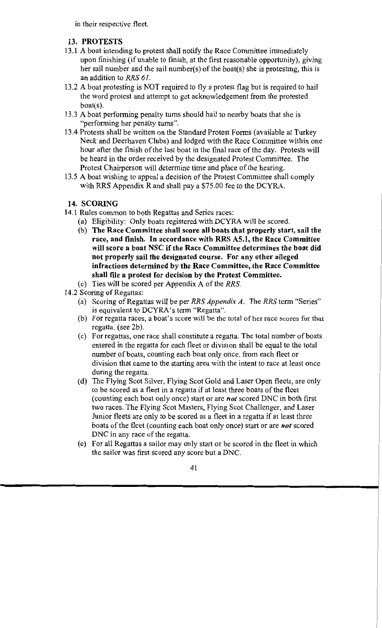in their respective fleet.

# **13. PROTESTS**

- 13 .1 A boat intending to protest shall notify the Race Committee immediately upon finishing (if unable to finish, at the first reasonable opportunity), giving her sail number and the sail number(s) of the boat(s) she is protesting, this is an addition to *RRS 61.*
- 13 .2 A boat protesting is NOT required to fly a protest flag but is required to hail the word protest and attempt to get acknowledgement from the protested boat(s).
- 13 .3 A boat performing penalty turns should hail to nearby boats that she is "performing her penalty turns".
- 13.4 Protests shall be written on the Standard Protest Forms (available at Turkey Neck and Deerhaven Clubs) and lodged with the Race Committee within one hour after the finish of the last boat in the final race of the day. Protests will be heard in the order received by the designated Protest Committee. The Protest Chairperson will determine time and place of the hearing.
- 13.5 A boat wishing to appeal a decision of the Protest Committee shall comply with RRS Appendix R and shall pay a \$75.00 fee to the DCYRA.

## **14. SCORING**

- 14. l Rules common to both Regattas and Series races:
	- (a) Eligibility: Only boats registered with DCYRA will be scored.
	- (b) **The Race Committee shall score all boats that properly start, sail the race, and finish. In accordance with RRS AS.I, the Race Committee will score a boat NSC if the Race Committee determines the boat did not properly sail the designated course. For any other alleged infractions determined by the Race Committee, the Race Committee shall file a protest for decision by the Protest Committee.**
	- (c) Ties will be scored per Appendix A of the *RRS.*
- 14.2 Scoring of Regattas:
	- (a) Scoring of Regattas will be per *RRS Appendix A.* The *RRS* term "Series" is equivalent to DCYRA's term "Regatta".
	- (b) For regatta races, a boat's score will be the total of her race scores for that regatta. (see 2b).
	- (c) For regattas, one race shall constitute a regatta. The total number of boats entered in the regatta for each fleet or division shall be equal to the total number of boats, counting each boat only once, from each fleet or division that came to the starting area with the intent to race at least once during the regatta.
	- (d) The Flying Scot Silver, Flying Scot Gold and Laser Open fleets, are only to be scored as a fleet in a regatta if at least three boats of the fleet ( counting each boat only once) start or are *not* scored DNC in both first two races. The Flying Scot Masters, Flying Scot Challenger, and Laser Junior fleets are only to be scored as a fleet in a regatta if at least three boats of the fleet (counting each boat only once) start or are *not* scored DNC in any race of the regatta.
	- ( e) For all Regattas a sailor may only start or be scored in the fleet in which the sailor was first scored any score but a DNC.

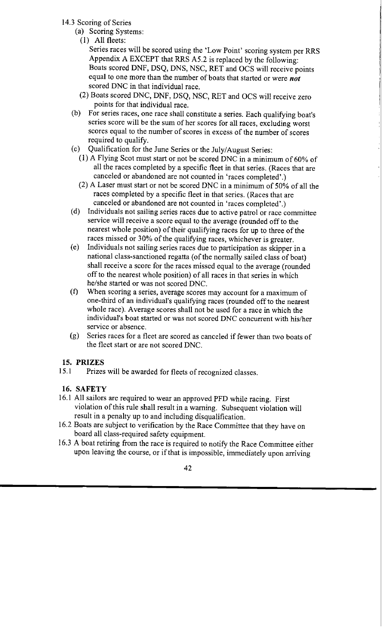- 14.3 Scoring of Series
	- (a) Scoring Systems:
		- (1) All fleets:

Series races will be scored using the 'Low Point' scoring system per RRS Appendix A EXCEPT that RRS AS.2 is replaced by the following: Boats scored DNF, DSQ, DNS, NSC, RET and OCS will receive points equal to one more than the number of boats that started or were *not*  scored DNC in that individual race.

- (2) Boats scored DNC, DNF, DSQ, NSC, RET and OCS will receive zero points for that individual race.
- (b) For series races, one race shall constitute a series. Each qualifying boat's series score will be the sum of her scores for all races, excluding worst scores equal to the number of scores in excess of the number of scores required to qualify.
- ( c) Qualification for the June Series or the July/ August Series:
	- (1) A Flying Scot must start or not be scored DNC in a minimum of  $60\%$  of all the races completed by a specific fleet in that series. (Races that are canceled or abandoned are not counted in 'races completed'.)
	- (2) A Laser must start or not be scored DNC in a minimum of 50% of all the races completed by a specific fleet in that series. (Races that are canceled or abandoned are not counted in 'races completed'.)
- ( d) Individuals not sailing series races due to active patrol or race committee service will receive a score equal to the average (rounded off to the nearest whole position) of their qualifying races for up to three of the races missed or 30% of the qualifying races, whichever is greater.
- ( e) Individuals not sailing series races due to participation as skipper in a national class-sanctioned regatta (of the normally sailed class of boat) shall receive a score for the races missed equal to the average (rounded off to the nearest whole position) of all races in that series in which he/she started or was not scored DNC.
- (f) When scoring a series, average scores may account for a maximum of one-third of an individual's qualifying races (rounded off to the nearest whole race). Average scores shall not be used for a race in which the individual's boat started or was not scored DNC concurrent with his/her service or absence.
- (g) Series races for a fleet are scored as canceled if fewer than two boats of the fleet start or are not scored DNC.

## **15. PRIZES**

15.1 Prizes will be awarded for fleets of recognized classes.

# **16. SAFETY**

- 16.1 All sailors are required to wear an approved PFD while racing. First violation of this rule shall result in a warning. Subsequent violation will result in a penalty up to and including disqualification.
- 16.2 Boats are subject to verification by the Race Committee that they have on board all class-required safety equipment.
- 16.3 A boat retiring from the race is required to notify the Race Committee either upon leaving the course, or if that is impossible, immediately upon arriving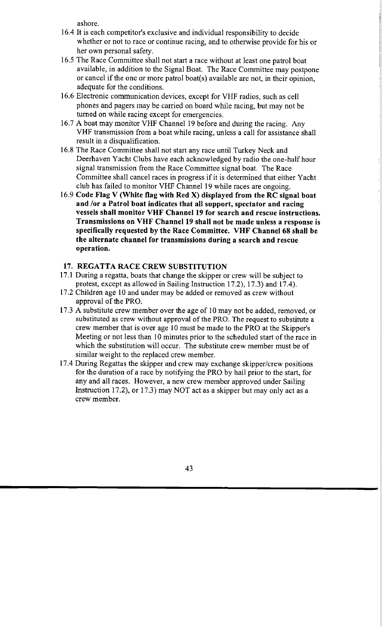ashore.

- 16.4 It is each competitor's exclusive and individual responsibility to decide whether or not to race or continue racing, and to otherwise provide for his or her own personal safety.
- 16.5 The Race Committee shall not start a race without at least one patrol boat available, in addition to the Signal Boat. The Race Committee may postpone or cancel if the one or more patrol boat(s) available are not, in their opinion, adequate for the conditions.
- 16.6 Electronic communication devices, except for VHF radios, such as cell phones and pagers may be carried on board while racing, but may not be turned on while racing except for emergencies.
- 16.7 A boat may monitor VHF Channel 19 before and during the racing. Any VHF transmission from a boat while racing, unless a call for assistance shall result in a disqualification.
- 16.8 The Race Committee shall not start any race until Turkey Neck and Deerhaven Yacht Clubs have each acknowledged by radio the one-half hour signal transmission from the Race Committee signal boat. The Race Committee shall cancel races in progress if it is determined that either Yacht club has failed to monitor VHF Channel 19 while races are ongoing.
- 16.9 **Code Flag V (White flag with Red X) displayed from the RC signal boat and /or a Patrol boat indicates that all support, spectator and racing vessels shall monitor VHF Channel 19 for search and rescue instructions. Transmissions on VHF Channel 19 shall not be made unless a response is specifically requested by the Race Committee. VHF Channel 68 shall be the alternate channel for transmissions during a search and rescue operation.**

#### **17. REGATTA RACE CREW SUBSTITUTION**

- 17.1 During a regatta, boats that change the skipper or crew will be subject to protest, except as allowed in Sailing Instruction 17.2), 17.3) and 17.4).
- 17 .2 Children age IO and under may be added or removed as crew without approval of the PRO.
- 17.3 A substitute crew member over the age of IO may not be added, removed, or substituted as crew without approval of the PRO. The request to substitute a crew member that is over age 10 must be made to the PRO at the Skipper's Meeting or not less than IO minutes prior to the scheduled start of the race in which the substitution will occur. The substitute crew member must be of similar weight to the replaced crew member.
- 17.4 During Regattas the skipper and crew may exchange skipper/crew positions for the duration of a race by notifying the PRO by hail prior to the start, for any and all races. However, a new crew member approved under Sailing Instruction 17.2), or 17.3) may NOT act as a skipper but may only act as a crew member.